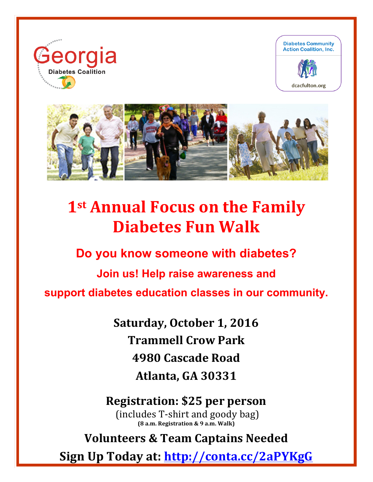

I





# **1st Annual Focus on the Family Diabetes Fun Walk**

**Do you know someone with diabetes?**

**Join us! Help raise awareness and** 

**support diabetes education classes in our community.**

Saturday, October 1, 2016 **Trammell Crow Park 4980 Cascade Road Atlanta, GA 30331**

**Registration: \$25 per person** (includes T-shirt and goody bag) **(8 a.m. Registration & 9 a.m. Walk)**

**Volunteers & Team Captains Needed**

**Sign Up Today at: http://conta.cc/2aPYKgG**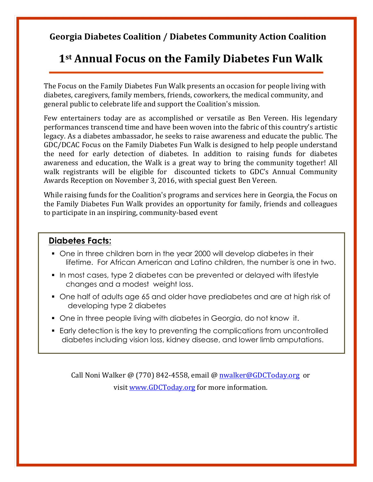#### **Georgia Diabetes Coalition / Diabetes Community Action Coalition**

## **1st Annual Focus on the Family Diabetes Fun Walk**

The Focus on the Family Diabetes Fun Walk presents an occasion for people living with diabetes, caregivers, family members, friends, coworkers, the medical community, and general public to celebrate life and support the Coalition's mission.

Few entertainers today are as accomplished or versatile as Ben Vereen. His legendary performances transcend time and have been woven into the fabric of this country's artistic legacy. As a diabetes ambassador, he seeks to raise awareness and educate the public. The GDC/DCAC Focus on the Family Diabetes Fun Walk is designed to help people understand the need for early detection of diabetes. In addition to raising funds for diabetes awareness and education, the Walk is a great way to bring the community together! All walk registrants will be eligible for discounted tickets to GDC's Annual Community Awards Reception on November 3, 2016, with special guest Ben Vereen.

While raising funds for the Coalition's programs and services here in Georgia, the Focus on the Family Diabetes Fun Walk provides an opportunity for family, friends and colleagues to participate in an inspiring, community-based event

#### **Diabetes Facts:**

- ! One in three children born in the year 2000 will develop diabetes in their lifetime. For African American and Latino children, the number is one in two.
- ! In most cases, type 2 diabetes can be prevented or delayed with lifestyle changes and a modest weight loss.
- ! One half of adults age 65 and older have prediabetes and are at high risk of developing type 2 diabetes
- ! One in three people living with diabetes in Georgia, do not know it.
- ! Early detection is the key to preventing the complications from uncontrolled diabetes including vision loss, kidney disease, and lower limb amputations.

Call Noni Walker @ (770) 842-4558, email @ nwalker@GDCToday.org or visit www.GDCToday.org for more information.